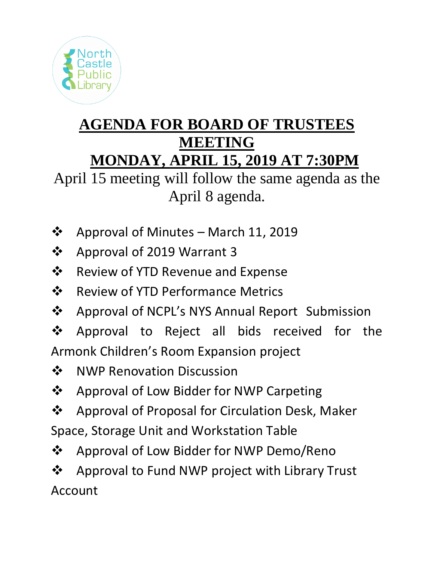

## **AGENDA FOR BOARD OF TRUSTEES MEETING MONDAY, APRIL 15, 2019 AT 7:30PM**

April 15 meeting will follow the same agenda as the April 8 agenda.

- ❖ Approval of Minutes March 11, 2019
- ❖ Approval of 2019 Warrant 3
- ❖ Review of YTD Revenue and Expense
- ❖ Review of YTD Performance Metrics
- ❖ Approval of NCPL's NYS Annual Report Submission
- ❖ Approval to Reject all bids received for the Armonk Children's Room Expansion project
- ❖ NWP Renovation Discussion
- ❖ Approval of Low Bidder for NWP Carpeting
- ❖ Approval of Proposal for Circulation Desk, Maker Space, Storage Unit and Workstation Table
- ❖ Approval of Low Bidder for NWP Demo/Reno
- ❖ Approval to Fund NWP project with Library Trust Account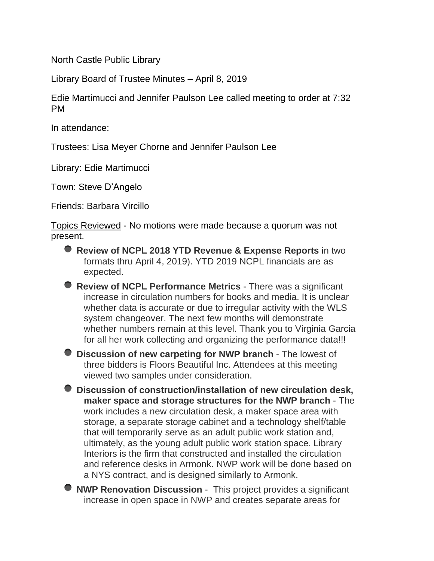North Castle Public Library

Library Board of Trustee Minutes – April 8, 2019

Edie Martimucci and Jennifer Paulson Lee called meeting to order at 7:32 PM

In attendance:

Trustees: Lisa Meyer Chorne and Jennifer Paulson Lee

Library: Edie Martimucci

Town: Steve D'Angelo

Friends: Barbara Vircillo

Topics Reviewed - No motions were made because a quorum was not present.

- **Review of NCPL 2018 YTD Revenue & Expense Reports** in two formats thru April 4, 2019). YTD 2019 NCPL financials are as expected.
- **Review of NCPL Performance Metrics** There was a significant increase in circulation numbers for books and media. It is unclear whether data is accurate or due to irregular activity with the WLS system changeover. The next few months will demonstrate whether numbers remain at this level. Thank you to Virginia Garcia for all her work collecting and organizing the performance data!!!

**Discussion of new carpeting for NWP branch** - The lowest of three bidders is Floors Beautiful Inc. Attendees at this meeting viewed two samples under consideration.

**Discussion of construction/installation of new circulation desk, maker space and storage structures for the NWP branch** - The work includes a new circulation desk, a maker space area with storage, a separate storage cabinet and a technology shelf/table that will temporarily serve as an adult public work station and, ultimately, as the young adult public work station space. Library Interiors is the firm that constructed and installed the circulation and reference desks in Armonk. NWP work will be done based on a NYS contract, and is designed similarly to Armonk.

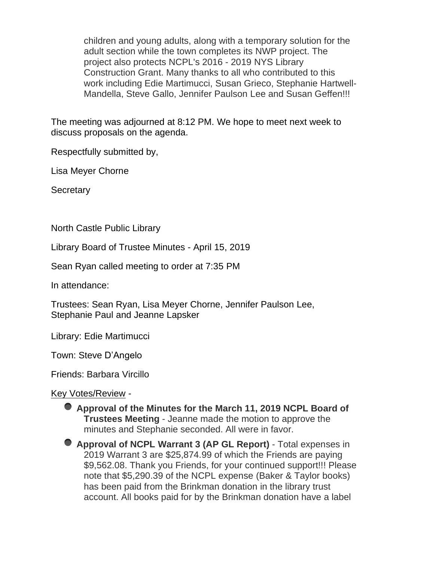children and young adults, along with a temporary solution for the adult section while the town completes its NWP project. The project also protects NCPL's 2016 - 2019 NYS Library Construction Grant. Many thanks to all who contributed to this work including Edie Martimucci, Susan Grieco, Stephanie Hartwell-Mandella, Steve Gallo, Jennifer Paulson Lee and Susan Geffen!!!

The meeting was adjourned at 8:12 PM. We hope to meet next week to discuss proposals on the agenda.

Respectfully submitted by,

Lisa Meyer Chorne

**Secretary** 

North Castle Public Library

Library Board of Trustee Minutes - April 15, 2019

Sean Ryan called meeting to order at 7:35 PM

In attendance:

Trustees: Sean Ryan, Lisa Meyer Chorne, Jennifer Paulson Lee, Stephanie Paul and Jeanne Lapsker

Library: Edie Martimucci

Town: Steve D'Angelo

Friends: Barbara Vircillo

Key Votes/Review -

- **Approval of the Minutes for the March 11, 2019 NCPL Board of Trustees Meeting** - Jeanne made the motion to approve the minutes and Stephanie seconded. All were in favor.
- **Approval of NCPL Warrant 3 (AP GL Report)** Total expenses in 2019 Warrant 3 are \$25,874.99 of which the Friends are paying \$9,562.08. Thank you Friends, for your continued support!!! Please note that \$5,290.39 of the NCPL expense (Baker & Taylor books) has been paid from the Brinkman donation in the library trust account. All books paid for by the Brinkman donation have a label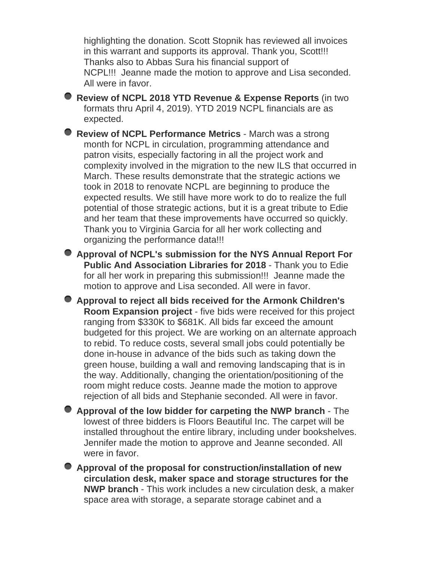highlighting the donation. Scott Stopnik has reviewed all invoices in this warrant and supports its approval. Thank you, Scott!!! Thanks also to Abbas Sura his financial support of NCPL!!! Jeanne made the motion to approve and Lisa seconded. All were in favor.

**Review of NCPL 2018 YTD Revenue & Expense Reports** (in two formats thru April 4, 2019). YTD 2019 NCPL financials are as expected.

**Review of NCPL Performance Metrics** - March was a strong month for NCPL in circulation, programming attendance and patron visits, especially factoring in all the project work and complexity involved in the migration to the new ILS that occurred in March. These results demonstrate that the strategic actions we took in 2018 to renovate NCPL are beginning to produce the expected results. We still have more work to do to realize the full potential of those strategic actions, but it is a great tribute to Edie and her team that these improvements have occurred so quickly. Thank you to Virginia Garcia for all her work collecting and organizing the performance data!!!

**Approval of NCPL's submission for the NYS Annual Report For Public And Association Libraries for 2018** - Thank you to Edie for all her work in preparing this submission!!! Jeanne made the motion to approve and Lisa seconded. All were in favor.

**Approval to reject all bids received for the Armonk Children's Room Expansion project** - five bids were received for this project ranging from \$330K to \$681K. All bids far exceed the amount budgeted for this project. We are working on an alternate approach to rebid. To reduce costs, several small jobs could potentially be done in-house in advance of the bids such as taking down the green house, building a wall and removing landscaping that is in the way. Additionally, changing the orientation/positioning of the room might reduce costs. Jeanne made the motion to approve rejection of all bids and Stephanie seconded. All were in favor.

**Approval of the low bidder for carpeting the NWP branch** - The lowest of three bidders is Floors Beautiful Inc. The carpet will be installed throughout the entire library, including under bookshelves. Jennifer made the motion to approve and Jeanne seconded. All were in favor.

**Approval of the proposal for construction/installation of new circulation desk, maker space and storage structures for the NWP branch** - This work includes a new circulation desk, a maker space area with storage, a separate storage cabinet and a